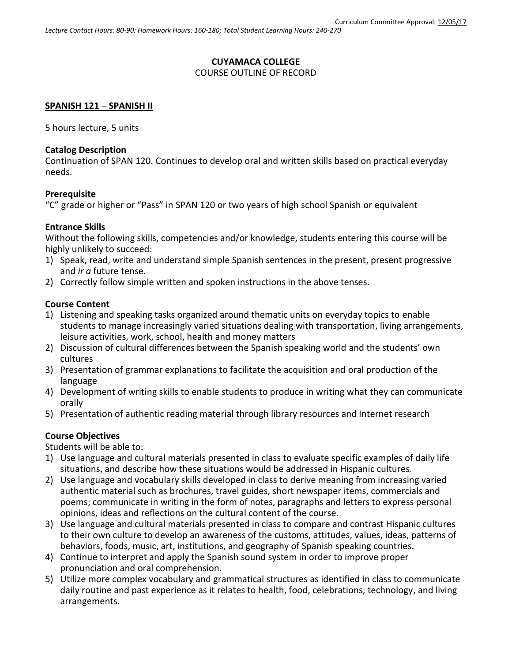# **CUYAMACA COLLEGE**

## COURSE OUTLINE OF RECORD

## **SPANISH 121** – **SPANISH II**

5 hours lecture, 5 units

## **Catalog Description**

Continuation of SPAN 120. Continues to develop oral and written skills based on practical everyday needs.

## **Prerequisite**

"C" grade or higher or "Pass" in SPAN 120 or two years of high school Spanish or equivalent

## **Entrance Skills**

Without the following skills, competencies and/or knowledge, students entering this course will be highly unlikely to succeed:

- 1) Speak, read, write and understand simple Spanish sentences in the present, present progressive and *ir a* future tense.
- 2) Correctly follow simple written and spoken instructions in the above tenses.

## **Course Content**

- 1) Listening and speaking tasks organized around thematic units on everyday topics to enable students to manage increasingly varied situations dealing with transportation, living arrangements, leisure activities, work, school, health and money matters
- 2) Discussion of cultural differences between the Spanish speaking world and the students' own cultures
- 3) Presentation of grammar explanations to facilitate the acquisition and oral production of the language
- 4) Development of writing skills to enable students to produce in writing what they can communicate orally
- 5) Presentation of authentic reading material through library resources and Internet research

## **Course Objectives**

Students will be able to:

- 1) Use language and cultural materials presented in class to evaluate specific examples of daily life situations, and describe how these situations would be addressed in Hispanic cultures.
- 2) Use language and vocabulary skills developed in class to derive meaning from increasing varied authentic material such as brochures, travel guides, short newspaper items, commercials and poems; communicate in writing in the form of notes, paragraphs and letters to express personal opinions, ideas and reflections on the cultural content of the course.
- 3) Use language and cultural materials presented in class to compare and contrast Hispanic cultures to their own culture to develop an awareness of the customs, attitudes, values, ideas, patterns of behaviors, foods, music, art, institutions, and geography of Spanish speaking countries.
- 4) Continue to interpret and apply the Spanish sound system in order to improve proper pronunciation and oral comprehension.
- 5) Utilize more complex vocabulary and grammatical structures as identified in class to communicate daily routine and past experience as it relates to health, food, celebrations, technology, and living arrangements.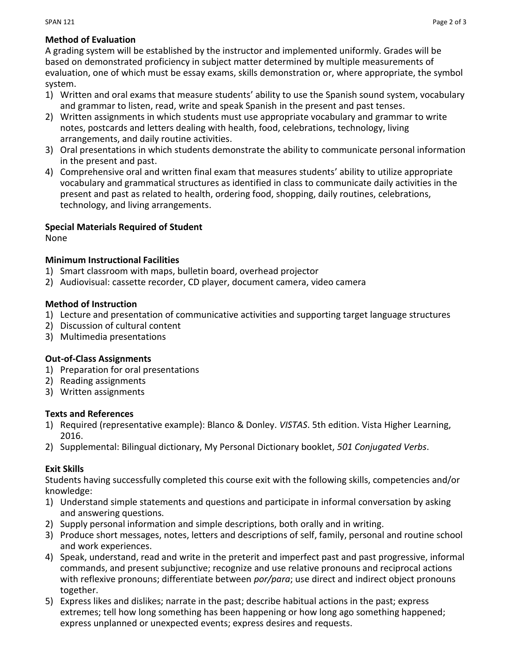A grading system will be established by the instructor and implemented uniformly. Grades will be based on demonstrated proficiency in subject matter determined by multiple measurements of evaluation, one of which must be essay exams, skills demonstration or, where appropriate, the symbol system.

- 1) Written and oral exams that measure students' ability to use the Spanish sound system, vocabulary and grammar to listen, read, write and speak Spanish in the present and past tenses.
- 2) Written assignments in which students must use appropriate vocabulary and grammar to write notes, postcards and letters dealing with health, food, celebrations, technology, living arrangements, and daily routine activities.
- 3) Oral presentations in which students demonstrate the ability to communicate personal information in the present and past.
- 4) Comprehensive oral and written final exam that measures students' ability to utilize appropriate vocabulary and grammatical structures as identified in class to communicate daily activities in the present and past as related to health, ordering food, shopping, daily routines, celebrations, technology, and living arrangements.

# **Special Materials Required of Student**

None

# **Minimum Instructional Facilities**

- 1) Smart classroom with maps, bulletin board, overhead projector
- 2) Audiovisual: cassette recorder, CD player, document camera, video camera

## **Method of Instruction**

- 1) Lecture and presentation of communicative activities and supporting target language structures
- 2) Discussion of cultural content
- 3) Multimedia presentations

# **Out-of-Class Assignments**

- 1) Preparation for oral presentations
- 2) Reading assignments
- 3) Written assignments

## **Texts and References**

- 1) Required (representative example): Blanco & Donley. *VISTAS*. 5th edition. Vista Higher Learning, 2016.
- 2) Supplemental: Bilingual dictionary, My Personal Dictionary booklet, *501 Conjugated Verbs*.

# **Exit Skills**

Students having successfully completed this course exit with the following skills, competencies and/or knowledge:

- 1) Understand simple statements and questions and participate in informal conversation by asking and answering questions.
- 2) Supply personal information and simple descriptions, both orally and in writing.
- 3) Produce short messages, notes, letters and descriptions of self, family, personal and routine school and work experiences.
- 4) Speak, understand, read and write in the preterit and imperfect past and past progressive, informal commands, and present subjunctive; recognize and use relative pronouns and reciprocal actions with reflexive pronouns; differentiate between *por/para*; use direct and indirect object pronouns together.
- 5) Express likes and dislikes; narrate in the past; describe habitual actions in the past; express extremes; tell how long something has been happening or how long ago something happened; express unplanned or unexpected events; express desires and requests.